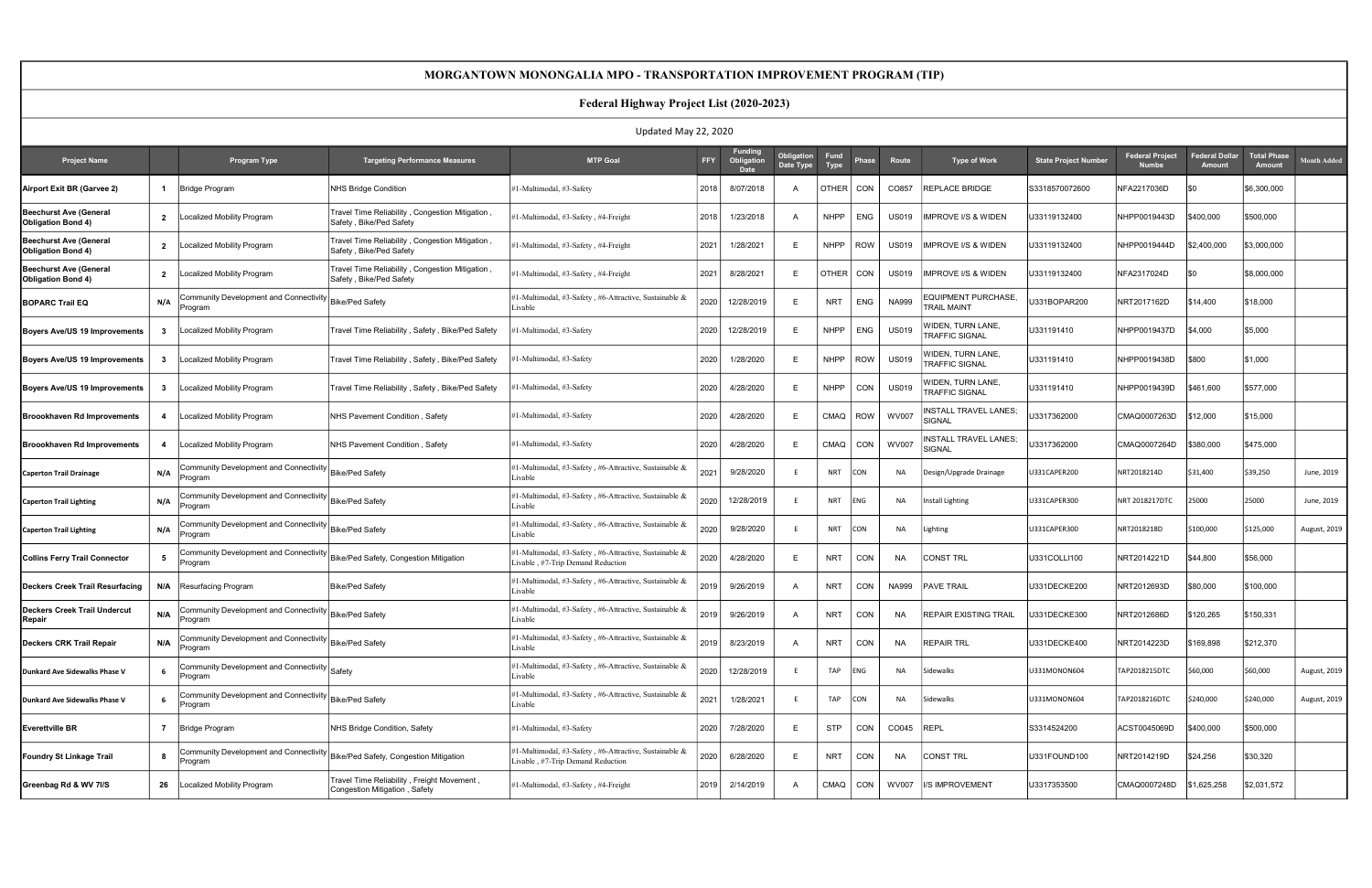| Updated May 22, 2020                                |                |                                                                                                              |                                                                             |                                                                                             |        |                                             |                         |                            |            |              |                                                          |                             |                                        |                         |                              |                    |
|-----------------------------------------------------|----------------|--------------------------------------------------------------------------------------------------------------|-----------------------------------------------------------------------------|---------------------------------------------------------------------------------------------|--------|---------------------------------------------|-------------------------|----------------------------|------------|--------------|----------------------------------------------------------|-----------------------------|----------------------------------------|-------------------------|------------------------------|--------------------|
| <b>Project Name</b>                                 |                | Program Type                                                                                                 | <b>Targeting Performance Measures</b>                                       | <b>MTP Goal</b>                                                                             | FFY    | <b>Funding</b><br>Obligation<br><b>Date</b> | Obligation<br>Date Type | <b>Fund</b><br><b>Type</b> | Phase      | Route        | <b>Type of Work</b>                                      | <b>State Project Number</b> | <b>Federal Project</b><br><b>Numbe</b> | ederal Dollar<br>Amount | <b>Total Phase</b><br>Amount | <b>Month Added</b> |
| Airport Exit BR (Garvee 2)                          | $\overline{1}$ | Bridge Program                                                                                               | <b>NHS Bridge Condition</b>                                                 | #1-Multimodal, #3-Safety                                                                    | 2018   | 8/07/2018                                   | A                       | OTHER                      | CON        | CO857        | <b>REPLACE BRIDGE</b>                                    | S3318570072600              | NFA2217036D                            | l\$0                    | \$6,300,000                  |                    |
| Beechurst Ave (General<br>Obligation Bond 4)        | $\overline{2}$ | ocalized Mobility Program                                                                                    | Travel Time Reliability, Congestion Mitigation,<br>Safety, Bike/Ped Safety  | #1-Multimodal, #3-Safety, #4-Freight                                                        | 2018   | 1/23/2018                                   |                         | NHPP                       | <b>ENG</b> | <b>US019</b> | IMPROVE I/S & WIDEN                                      | U33119132400                | NHPP0019443D                           | \$400,000               | \$500,000                    |                    |
| Beechurst Ave (General<br><b>Obligation Bond 4)</b> | $\overline{2}$ | ocalized Mobility Program                                                                                    | Travel Time Reliability, Congestion Mitigation,<br>Safety, Bike/Ped Safety  | #1-Multimodal, #3-Safety, #4-Freight                                                        | 2021   | 1/28/2021                                   | Е                       | <b>NHPP</b>                | <b>ROW</b> | <b>US019</b> | IMPROVE I/S & WIDEN                                      | U33119132400                | NHPP0019444D                           | \$2,400,000             | \$3,000,000                  |                    |
| Beechurst Ave (General<br>Obligation Bond 4)        | $\overline{2}$ | Localized Mobility Program                                                                                   | Travel Time Reliability, Congestion Mitigation,<br>Safety, Bike/Ped Safety  | #1-Multimodal, #3-Safety, #4-Freight                                                        | 2021   | 8/28/2021                                   | F                       | OTHER                      | CON        | <b>US019</b> | <b>IMPROVE I/S &amp; WIDEN</b>                           | U33119132400                | NFA2317024D                            | I\$0                    | \$8,000,000                  |                    |
| <b>BOPARC Trail EQ</b>                              | N/A            | ommunity Development and Connectivity<br>rogram                                                              | <b>Bike/Ped Safety</b>                                                      | 1-Multimodal, #3-Safety, #6-Attractive, Sustainable &<br>Livable                            | 2020   | 12/28/2019                                  | E                       | <b>NRT</b>                 | <b>ENG</b> | <b>NA999</b> | <b>EQUIPMENT PURCHASE</b><br><b>TRAIL MAINT</b>          | U331BOPAR200                | NRT2017162D                            | \$14,400                | \$18,000                     |                    |
| Boyers Ave/US 19 Improvements                       | - 3            | ocalized Mobility Program                                                                                    | Travel Time Reliability, Safety, Bike/Ped Safety                            | #1-Multimodal, #3-Safety                                                                    | 2020   | 12/28/2019                                  | E                       | <b>NHPP</b>                | <b>ENG</b> | <b>US019</b> | <b><i>NIDEN, TURN LANE,</i></b><br><b>TRAFFIC SIGNAL</b> | U331191410                  | NHPP0019437D                           | \$4,000                 | \$5,000                      |                    |
| Boyers Ave/US 19 Improvements                       | $\mathbf{3}$   | Localized Mobility Program                                                                                   | Travel Time Reliability, Safety, Bike/Ped Safety                            | 1-Multimodal, #3-Safety                                                                     | 2020   | 1/28/2020                                   |                         | <b>NHPP</b>                | <b>ROW</b> | <b>US019</b> | <b><i>NIDEN, TURN LANE,</i></b><br><b>TRAFFIC SIGNAL</b> | U331191410                  | NHPP0019438D                           | \$800                   | \$1,000                      |                    |
| Boyers Ave/US 19 Improvements                       | - 3            | ocalized Mobility Program                                                                                    | Travel Time Reliability, Safety, Bike/Ped Safety                            | 1-Multimodal, #3-Safety                                                                     | 2020   | 4/28/2020                                   | Е                       | <b>NHPP</b>                | CON        | <b>US019</b> | WIDEN, TURN LANE,<br>TRAFFIC SIGNAL                      | U331191410                  | NHPP0019439D                           | \$461,600               | \$577,000                    |                    |
| Broookhaven Rd Improvements                         | 4              | Localized Mobility Program                                                                                   | NHS Pavement Condition, Safety                                              | #1-Multimodal, #3-Safety                                                                    | 2020   | 4/28/2020                                   | Е                       | CMAQ                       | ROW        | <b>WV007</b> | INSTALL TRAVEL LANES;<br><b>SIGNAL</b>                   | U3317362000                 | CMAQ0007263D                           | \$12,000                | \$15,000                     |                    |
| <b>Broookhaven Rd Improvements</b>                  | -4             | Localized Mobility Program                                                                                   | NHS Pavement Condition, Safety                                              | #1-Multimodal, #3-Safety                                                                    | 2020   | 4/28/2020                                   | E                       | CMAQ                       | CON        | WV007        | NSTALL TRAVEL LANES;<br>រignal                           | U3317362000                 | CMAQ0007264D                           | \$380,000               | \$475,000                    |                    |
| <b>Caperton Trail Drainage</b>                      | N/A            | Community Development and Connectivity Bike/Ped Safety<br>rogram                                             |                                                                             | #1-Multimodal, #3-Safety, #6-Attractive, Sustainable &<br>Livable                           | 2021   | 9/28/2020                                   |                         | <b>NRT</b>                 | CON        | N/           | Design/Upgrade Drainage                                  | U331CAPER200                | NRT2018214D                            | \$31,400                | \$39,250                     | June, 2019         |
| <b>Caperton Trail Lighting</b>                      | N/A            | Community Development and Connectivity   Bike/Ped Safety<br>Program                                          |                                                                             | #1-Multimodal, #3-Safety, #6-Attractive, Sustainable &<br>Livable                           | 2020   | 12/28/2019                                  |                         | <b>NRT</b>                 | ENG        | N/           | <b>Install Lighting</b>                                  | U331CAPER300                | NRT 2018217DTC                         | 25000                   | 25000                        | June, 2019         |
| <b>Caperton Trail Lighting</b>                      | N/A            | Community Development and Connectivity Bike/Ped Safety<br>rogram                                             |                                                                             | #1-Multimodal, #3-Safety, #6-Attractive, Sustainable &<br>Livable                           | 2020   | 9/28/2020                                   |                         | <b>NRT</b>                 | <b>CON</b> | N/           | Lighting                                                 | U331CAPER300                | NRT2018218D                            | \$100,000               | \$125,000                    | August, 2019       |
| Collins Ferry Trail Connector                       | 5              | .<br>ommunity Development and Connectivity $\big _\mathsf{Bike/Ped}$ Safety, Congestion Mitigation<br>rogram |                                                                             | #1-Multimodal, #3-Safety, #6-Attractive, Sustainable &<br>Livable, #7-Trip Demand Reduction | 2020   | 4/28/2020                                   | Е                       | <b>NRT</b>                 | CON        | <b>NA</b>    | <b>CONST TRL</b>                                         | U331COLLI100                | NRT2014221D                            | \$44,800                | \$56,000                     |                    |
| <b>IDeckers Creek Trail Resurfacing</b>             |                | N/A   Resurfacing Program                                                                                    | Bike/Ped Safety                                                             | #1-Multimodal, #3-Safety, #6-Attractive, Sustainable &<br>Livable                           | 2019   | 9/26/2019                                   | A                       | <b>NRT</b>                 | CON        | <b>NA999</b> | <b>PAVE TRAIL</b>                                        | U331DECKE200                | NRT2012693D                            | \$80,000                | \$100,000                    |                    |
| Deckers Creek Trail Undercut<br>Repair              | N/A            | Community Development and Connectivity   Bike/Ped Safety<br>Program                                          |                                                                             | #1-Multimodal, #3-Safety, #6-Attractive, Sustainable &<br>Livable                           | 2019 l | 9/26/2019                                   | A                       | <b>NRT</b>                 | CON        | NA           | <b>REPAIR EXISTING TRAIL</b>                             | U331DECKE300                | NRT2012686D                            | \$120,265               | \$150,331                    |                    |
| Deckers CRK Trail Repair                            | N/A            | Community Development and Connectivity  Bike/Ped Safety<br>Program                                           |                                                                             | #1-Multimodal, #3-Safety, #6-Attractive, Sustainable &<br>Livable                           |        | 2019 8/23/2019                              | $\overline{A}$          | <b>NRT</b>                 | CON        | <b>NA</b>    | <b>REPAIR TRL</b>                                        | U331DECKE400                | NRT2014223D                            | \$169,898               | \$212,370                    |                    |
| Dunkard Ave Sidewalks Phase V                       | 6              | Community Development and Connectivity $\big _\mathsf{Safety}$<br>rogram                                     |                                                                             | #1-Multimodal, #3-Safety, #6-Attractive, Sustainable &<br>Livable                           | 2020   | 12/28/2019                                  |                         | TAP                        | ENG        | <b>NA</b>    | Sidewalks                                                | U331MONON604                | TAP2018215DTC                          | \$60,000                | \$60,000                     | August, 2019       |
| Dunkard Ave Sidewalks Phase V                       | 6              | Community Development and Connectivity $\Big _{\rm Bike/Ped}$ Safety<br>rogram                               |                                                                             | #1-Multimodal, #3-Safety, #6-Attractive, Sustainable &<br>Livable                           | 2021   | 1/28/2021                                   |                         | TAP                        | CON        | <b>NA</b>    | Sidewalks                                                | U331MONON604                | TAP2018216DTC                          | \$240,000               | \$240,000                    | August, 2019       |
| Everettville BR                                     | $\overline{7}$ | <b>Bridge Program</b>                                                                                        | NHS Bridge Condition, Safety                                                | #1-Multimodal, #3-Safety                                                                    | 2020   | 7/28/2020                                   | E                       | <b>STP</b>                 | CON        | CO045        | REPL                                                     | S3314524200                 | ACST0045069D                           | \$400,000               | \$500,000                    |                    |
| Foundry St Linkage Trail                            | 8              | Community Development and Connectivity Bike/Ped Safety, Congestion Mitigation<br>Program                     |                                                                             | #1-Multimodal, #3-Safety, #6-Attractive, Sustainable &<br>Livable, #7-Trip Demand Reduction | 2020   | 6/28/2020                                   | E                       | <b>NRT</b>                 | CON        | <b>NA</b>    | CONST TRL                                                | U331FOUND100                | NRT2014219D                            | \$24,256                | \$30,320                     |                    |
| Greenbag Rd & WV 7I/S                               | 26             | Localized Mobility Program                                                                                   | Travel Time Reliability, Freight Movement,<br>Congestion Mitigation, Safety | #1-Multimodal, #3-Safety, #4-Freight                                                        | 2019   | 2/14/2019                                   | A                       | CMAQ                       | CON        | WV007        | I/S IMPROVEMENT                                          | U3317353500                 | CMAQ0007248D                           | \$1,625,258             | \$2,031,572                  |                    |

#### MORGANTOWN MONONGALIA MPO - TRANSPORTATION IMPROVEMENT PROGRAM (TIP)

# Federal Highway Project List (2020-2023)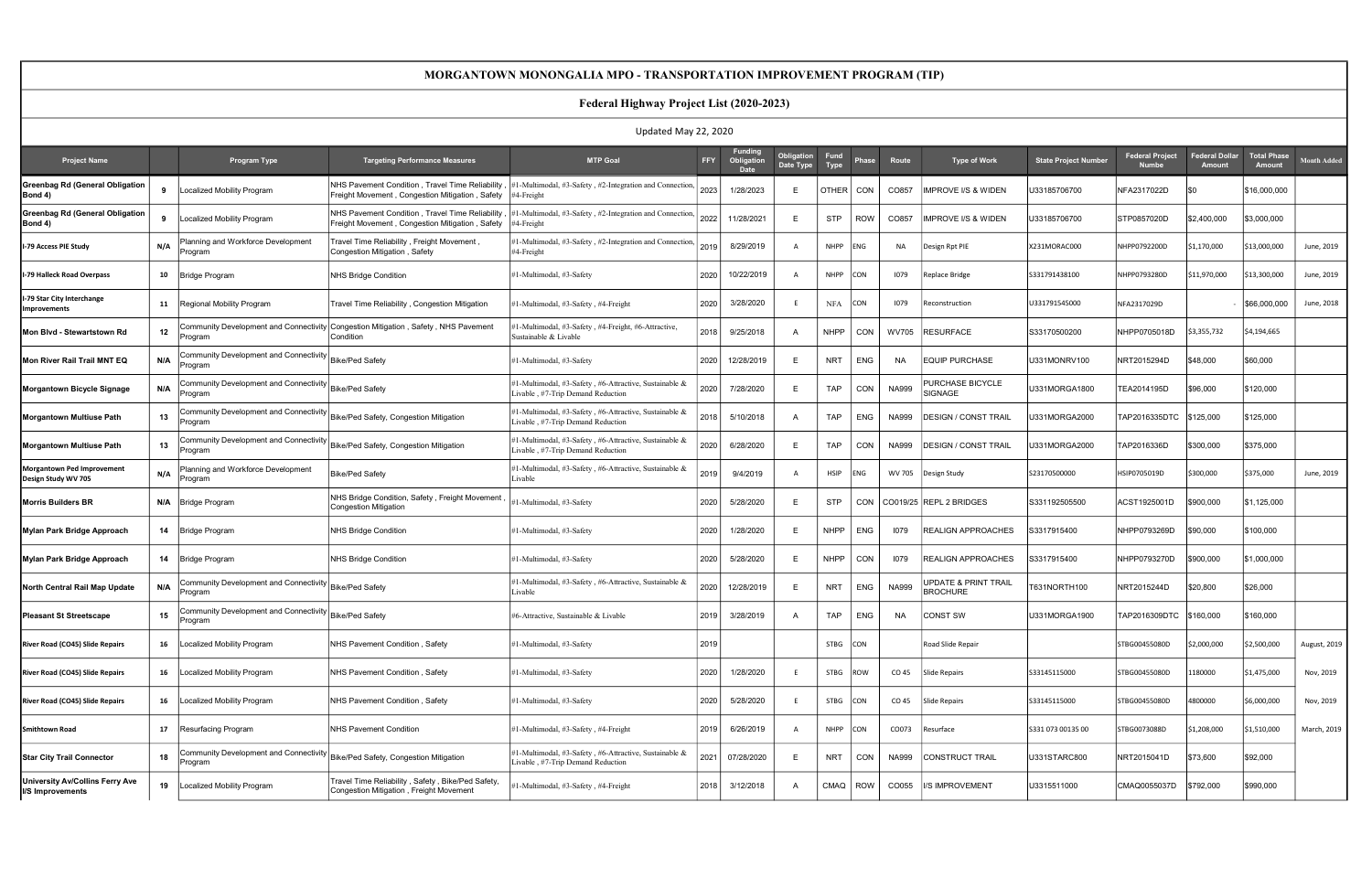#### MORGANTOWN MONONGALIA MPO - TRANSPORTATION IMPROVEMENT PROGRAM (TIP)

# Federal Highway Project List (2020-2023)

| Updated May 22, 2020                                     |     |                                                                                                                                                                  |                                                                                                             |                                                                                             |            |                                             |                         |                     |            |              |                                                    |                             |                                        |                                 |                              |                    |
|----------------------------------------------------------|-----|------------------------------------------------------------------------------------------------------------------------------------------------------------------|-------------------------------------------------------------------------------------------------------------|---------------------------------------------------------------------------------------------|------------|---------------------------------------------|-------------------------|---------------------|------------|--------------|----------------------------------------------------|-----------------------------|----------------------------------------|---------------------------------|------------------------------|--------------------|
| <b>Project Name</b>                                      |     | <b>Program Type</b>                                                                                                                                              | <b>Targeting Performance Measures</b>                                                                       | <b>MTP Goal</b>                                                                             | <b>FFY</b> | <b>Funding</b><br>Obligation<br><b>Date</b> | Obligation<br>Date Type | Fund<br><b>Type</b> | Phase      | Route        | <b>Type of Work</b>                                | <b>State Project Number</b> | <b>Federal Project</b><br><b>Numbe</b> | Federal Dollar<br><b>Amount</b> | <b>Total Phase</b><br>Amount | <b>Month Added</b> |
| <b>Greenbag Rd (General Obligation</b><br>Bond 4)        | 9   | Localized Mobility Program                                                                                                                                       | <b>INHS Pavement Condition . Travel Time Reliability</b><br>Freight Movement, Congestion Mitigation, Safety | 1-Multimodal, #3-Safety, #2-Integration and Connection,<br>#4-Freight                       | 2023       | 1/28/2023                                   |                         | DTHER   CON         |            | CO857        | MPROVE I/S & WIDEN                                 | U33185706700                | NFA2317022D                            | I\$0                            | \$16,000,000                 |                    |
| <b>Greenbag Rd (General Obligation</b><br>Bond 4)        |     | ocalized Mobility Program                                                                                                                                        | NHS Pavement Condition, Travel Time Reliability<br>Freight Movement, Congestion Mitigation, Safety          | #1-Multimodal, #3-Safety, #2-Integration and Connection,<br>#4-Freight                      | 2022       | 11/28/2021                                  | F                       | <b>STP</b>          | <b>ROW</b> | CO857        | <b>IMPROVE I/S &amp; WIDEN</b>                     | U33185706700                | STP0857020D                            | \$2,400,000                     | \$3,000,000                  |                    |
| I-79 Access PIE Study                                    | N/A | Planning and Workforce Development<br>Program                                                                                                                    | Fravel Time Reliability, Freight Movement,<br>Congestion Mitigation, Safety                                 | 1-Multimodal, #3-Safety, #2-Integration and Connection,<br>#4-Freight                       | 2019       | 8/29/2019                                   | A                       | <b>NHPP</b>         | <b>ENG</b> | <b>NA</b>    | Design Rpt PIE                                     | X231MORAC000                | NHPP0792200D                           | \$1,170,000                     | \$13,000,000                 | June, 2019         |
| I-79 Halleck Road Overpass                               | 10  | <b>Bridge Program</b>                                                                                                                                            | NHS Bridge Condition                                                                                        | #1-Multimodal, #3-Safety                                                                    | 2020       | 10/22/2019                                  |                         | <b>NHPP</b>         | CON        | 1079         | Replace Bridge                                     | S331791438100               | NHPP0793280D                           | \$11,970,000                    | 13,300,000                   | June, 2019         |
| I-79 Star City Interchange<br>Improvements               | 11  | Regional Mobility Program                                                                                                                                        | Travel Time Reliability, Congestion Mitigation                                                              | #1-Multimodal, #3-Safety, #4-Freight                                                        | 2020       | 3/28/2020                                   |                         | <b>NFA</b>          | <b>CON</b> | 1079         | Reconstruction                                     | U331791545000               | NFA2317029D                            |                                 | \$66,000,000                 | June, 2018         |
| Mon Blvd - Stewartstown Rd                               | 12  | Program                                                                                                                                                          | Community Development and Connectivity Congestion Mitigation , Safety , NHS Pavement<br>Condition           | #1-Multimodal, #3-Safety, #4-Freight, #6-Attractive,<br>Sustainable & Livable               | 2018       | 9/25/2018                                   | A                       | NHPP                | CON        | WV705        | <b>RESURFACE</b>                                   | S33170500200                | NHPP0705018D                           | \$3,355,732                     | \$4,194,665                  |                    |
| Mon River Rail Trail MNT EQ                              | N/A | Community Development and Connectivity $\vert_{\rm Bike/Ped}$ Safety<br>Program                                                                                  |                                                                                                             | #1-Multimodal, #3-Safety                                                                    | 2020       | 12/28/2019                                  | Е                       | <b>NRT</b>          | <b>ENG</b> | <b>NA</b>    | <b>EQUIP PURCHASE</b>                              | U331MONRV100                | NRT2015294D                            | \$48,000                        | \$60,000                     |                    |
| Morgantown Bicycle Signage                               | N/A | $\small \mathsf{\small \textsf{Community}\space Development}$ and $\small \textsf{Connectivity}\big \small \textsf{Bike/Ped}\ \small \textsf{Safety}$<br>Program |                                                                                                             | #1-Multimodal, #3-Safety, #6-Attractive, Sustainable &<br>ivable, #7-Trip Demand Reduction  | 2020       | 7/28/2020                                   | F                       | <b>TAP</b>          | <b>CON</b> | <b>NA999</b> | PURCHASE BICYCLE<br>SIGNAGE                        | U331MORGA1800               | TEA2014195D                            | \$96,000                        | \$120,000                    |                    |
| <b>Morgantown Multiuse Path</b>                          | 13  | Community Development and Connectivity $\big _\mathsf{Bike/Ped}$ Safety, Congestion Mitigation<br>Program                                                        |                                                                                                             | #1-Multimodal, #3-Safety, #6-Attractive, Sustainable &<br>Livable, #7-Trip Demand Reduction | 2018       | 5/10/2018                                   |                         | <b>TAP</b>          | <b>ENG</b> | <b>NA999</b> | <b>DESIGN / CONST TRAIL</b>                        | U331MORGA2000               | TAP2016335DTC                          | \$125,000                       | \$125,000                    |                    |
| <b>Morgantown Multiuse Path</b>                          | 13  | Community Development and Connectivity Bike/Ped Safety, Congestion Mitigation<br>Program                                                                         |                                                                                                             | #1-Multimodal, #3-Safety, #6-Attractive, Sustainable &<br>Livable, #7-Trip Demand Reduction | 2020       | 6/28/2020                                   |                         | <b>TAP</b>          | <b>CON</b> | <b>NA999</b> | <b>DESIGN / CONST TRAIL</b>                        | U331MORGA2000               | TAP2016336D                            | \$300,000                       | \$375,000                    |                    |
| <b>Morgantown Ped Improvement</b><br>Design Study WV 705 | N/A | Planning and Workforce Development<br>Program                                                                                                                    | <b>Bike/Ped Safety</b>                                                                                      | #1-Multimodal, #3-Safety, #6-Attractive, Sustainable &<br>ivable                            | 2019       | 9/4/2019                                    |                         | <b>HSIP</b>         | ENG        | WV 705       | Design Study                                       | S23170500000                | HSIP0705019D                           | \$300,000                       | \$375,000                    | June, 2019         |
| <b>Morris Builders BR</b>                                | N/A | Bridge Program                                                                                                                                                   | NHS Bridge Condition, Safety, Freight Movement<br><b>Congestion Mitigation</b>                              | #1-Multimodal, #3-Safety                                                                    | 2020       | 5/28/2020                                   |                         | <b>STP</b>          | <b>CON</b> |              | CO019/25 REPL 2 BRIDGES                            | S331192505500               | ACST1925001D                           | \$900,000                       | \$1,125,000                  |                    |
| Mylan Park Bridge Approach                               | 14  | Bridge Program                                                                                                                                                   | <b>NHS Bridge Condition</b>                                                                                 | #1-Multimodal, #3-Safety                                                                    | 2020       | 1/28/2020                                   | F                       | <b>NHPP</b>         | <b>ENG</b> | 1079         | <b>REALIGN APPROACHES</b>                          | S3317915400                 | NHPP0793269D                           | \$90,000                        | \$100,000                    |                    |
| Mylan Park Bridge Approach                               | 14  | Bridge Program                                                                                                                                                   | NHS Bridge Condition                                                                                        | #1-Multimodal, #3-Safety                                                                    | 2020       | 5/28/2020                                   |                         | NHPP                | <b>CON</b> | 1079         | <b>REALIGN APPROACHES</b>                          | S3317915400                 | NHPP0793270D                           | \$900,000                       | \$1,000,000                  |                    |
| North Central Rail Map Update                            | N/A | Community Development and Connectivity  Bike/Ped Safety<br>Program                                                                                               |                                                                                                             | #1-Multimodal, #3-Safety, #6-Attractive, Sustainable &<br>Livable                           | 2020       | 12/28/2019                                  | E                       | <b>NRT</b>          | ENG        | <b>NA999</b> | <b>UPDATE &amp; PRINT TRAIL</b><br><b>BROCHURE</b> | T631NORTH100                | NRT2015244D                            | \$20,800                        | \$26,000                     |                    |
| <b>Pleasant St Streetscape</b>                           | 15  | Community Development and Connectivity $\big _\text{Bike/Ped Safety}$<br>Program                                                                                 |                                                                                                             | #6-Attractive, Sustainable & Livable                                                        | 2019       | 3/28/2019                                   | A                       | <b>TAP</b>          | <b>ENG</b> | <b>NA</b>    | <b>CONST SW</b>                                    | U331MORGA1900               |                                        |                                 | \$160,000                    |                    |
| River Road (CO45) Slide Repairs                          | 16  | ocalized Mobility Program                                                                                                                                        | NHS Pavement Condition, Safety                                                                              | #1-Multimodal, #3-Safety                                                                    | 2019       |                                             |                         | STBG CON            |            |              | Road Slide Repair                                  |                             | STBG00455080D                          | \$2,000,000                     | \$2,500,000                  | August, 2019       |
| River Road (CO45) Slide Repairs                          | 16  | Localized Mobility Program                                                                                                                                       | NHS Pavement Condition, Safety                                                                              | #1-Multimodal, #3-Safety                                                                    | 2020       | 1/28/2020                                   |                         | STBG ROW            |            | CO 45        | Slide Repairs                                      | S33145115000                | STBG00455080D                          | 1180000                         | \$1,475,000                  | Nov, 2019          |
| River Road (CO45) Slide Repairs                          | 16  | Localized Mobility Program                                                                                                                                       | NHS Pavement Condition, Safety                                                                              | #1-Multimodal, #3-Safety                                                                    | 2020       | 5/28/2020                                   |                         | STBG CON            |            | CO 45        | Slide Repairs                                      | S33145115000                | STBG00455080D                          | 4800000                         | \$6,000,000                  | Nov, 2019          |
| <b>Smithtown Road</b>                                    | 17  | Resurfacing Program                                                                                                                                              | NHS Pavement Condition                                                                                      | #1-Multimodal, #3-Safety, #4-Freight                                                        | 2019       | 6/26/2019                                   | A                       | <b>NHPP</b>         | <b>CON</b> | CO073        | Resurface                                          | S331 073 00135 00           | STBG0073088D                           | \$1,208,000                     | \$1,510,000                  | March, 2019        |
| <b>Star City Trail Connector</b>                         | 18  | Community Development and Connectivity<br>Program                                                                                                                | Bike/Ped Safety, Congestion Mitigation                                                                      | 1-Multimodal, #3-Safety, #6-Attractive, Sustainable &<br>Livable, #7-Trip Demand Reduction  | 2021       | 07/28/2020                                  | E                       | <b>NRT</b>          | CON        | <b>NA999</b> | CONSTRUCT TRAIL                                    | U331STARC800                | NRT2015041D                            | \$73,600                        | \$92,000                     |                    |
| University Av/Collins Ferry Ave<br>I/S Improvements      | 19  | ocalized Mobility Program                                                                                                                                        | Travel Time Reliability, Safety, Bike/Ped Safety,<br>Congestion Mitigation, Freight Movement                | #1-Multimodal, #3-Safety, #4-Freight                                                        | 2018       | 3/12/2018                                   | A                       | CMAQ   ROW          |            | CO055        | <b>IS IMPROVEMENT</b>                              | U3315511000                 | CMAQ0055037D                           | \$792,000                       | \$990,000                    |                    |